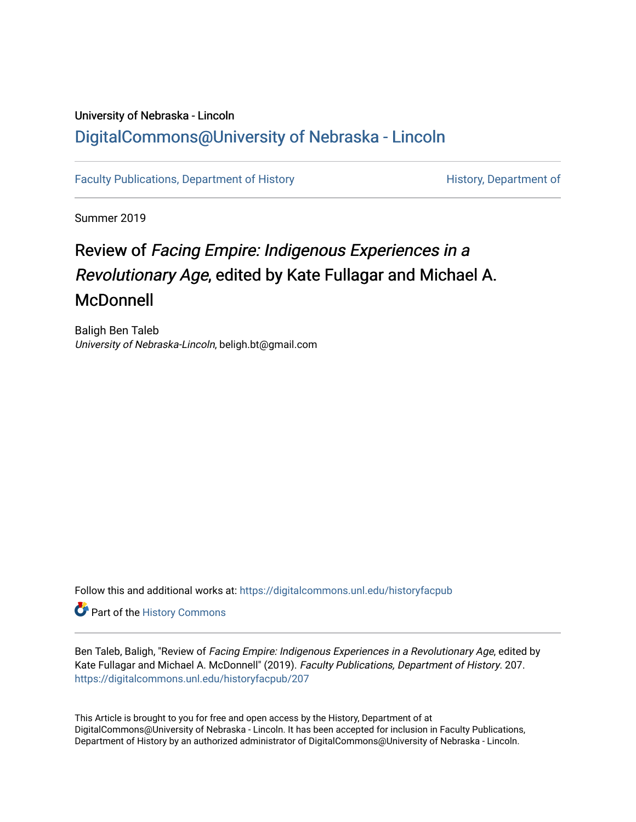## University of Nebraska - Lincoln [DigitalCommons@University of Nebraska - Lincoln](https://digitalcommons.unl.edu/)

[Faculty Publications, Department of History](https://digitalcommons.unl.edu/historyfacpub) **History** History, Department of

Summer 2019

## Review of Facing Empire: Indigenous Experiences in a Revolutionary Age, edited by Kate Fullagar and Michael A. McDonnell

Baligh Ben Taleb University of Nebraska-Lincoln, beligh.bt@gmail.com

Follow this and additional works at: [https://digitalcommons.unl.edu/historyfacpub](https://digitalcommons.unl.edu/historyfacpub?utm_source=digitalcommons.unl.edu%2Fhistoryfacpub%2F207&utm_medium=PDF&utm_campaign=PDFCoverPages) 

**Part of the History Commons** 

Ben Taleb, Baligh, "Review of Facing Empire: Indigenous Experiences in a Revolutionary Age, edited by Kate Fullagar and Michael A. McDonnell" (2019). Faculty Publications, Department of History. 207. [https://digitalcommons.unl.edu/historyfacpub/207](https://digitalcommons.unl.edu/historyfacpub/207?utm_source=digitalcommons.unl.edu%2Fhistoryfacpub%2F207&utm_medium=PDF&utm_campaign=PDFCoverPages) 

This Article is brought to you for free and open access by the History, Department of at DigitalCommons@University of Nebraska - Lincoln. It has been accepted for inclusion in Faculty Publications, Department of History by an authorized administrator of DigitalCommons@University of Nebraska - Lincoln.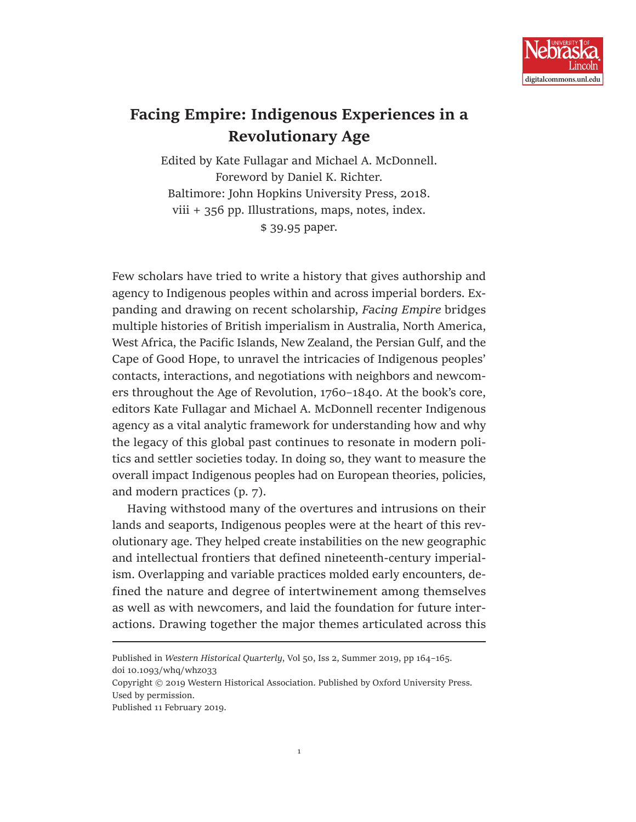

## **Facing Empire: Indigenous Experiences in a Revolutionary Age**

Edited by Kate Fullagar and Michael A. McDonnell. Foreword by Daniel K. Richter. Baltimore: John Hopkins University Press, 2018. viii + 356 pp. Illustrations, maps, notes, index. \$ 39.95 paper.

Few scholars have tried to write a history that gives authorship and agency to Indigenous peoples within and across imperial borders. Expanding and drawing on recent scholarship, *Facing Empire* bridges multiple histories of British imperialism in Australia, North America, West Africa, the Pacific Islands, New Zealand, the Persian Gulf, and the Cape of Good Hope, to unravel the intricacies of Indigenous peoples' contacts, interactions, and negotiations with neighbors and newcomers throughout the Age of Revolution, 1760–1840. At the book's core, editors Kate Fullagar and Michael A. McDonnell recenter Indigenous agency as a vital analytic framework for understanding how and why the legacy of this global past continues to resonate in modern politics and settler societies today. In doing so, they want to measure the overall impact Indigenous peoples had on European theories, policies, and modern practices (p. 7).

Having withstood many of the overtures and intrusions on their lands and seaports, Indigenous peoples were at the heart of this revolutionary age. They helped create instabilities on the new geographic and intellectual frontiers that defined nineteenth-century imperialism. Overlapping and variable practices molded early encounters, defined the nature and degree of intertwinement among themselves as well as with newcomers, and laid the foundation for future interactions. Drawing together the major themes articulated across this

Published in *Western Historical Quarterly*, Vol 50, Iss 2, Summer 2019, pp 164–165. doi 10.1093/whq/whz033

Copyright © 2019 Western Historical Association. Published by Oxford University Press. Used by permission.

Published 11 February 2019.